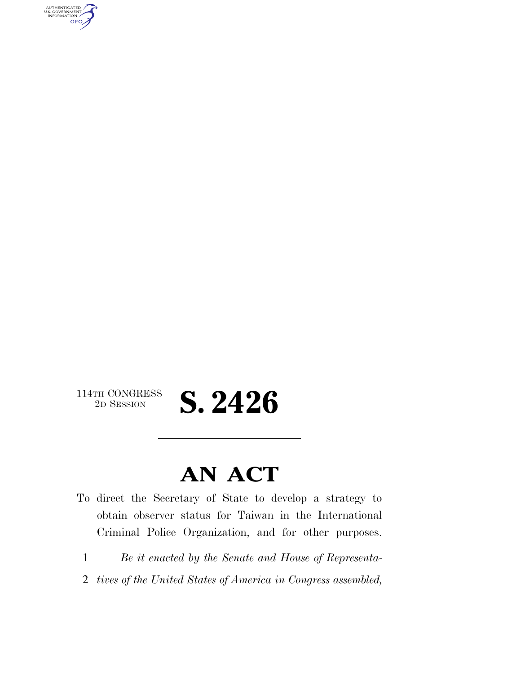AUTHENTICATED<br>U.S. GOVERNMENT<br>INFORMATION **GPO** 

## $\begin{array}{c} \textbf{114TH CONGRESS} \\ \textbf{2D SESION} \end{array}$ 2D SESSION **S. 2426**

## **AN ACT**

- To direct the Secretary of State to develop a strategy to obtain observer status for Taiwan in the International Criminal Police Organization, and for other purposes.
	- 1 *Be it enacted by the Senate and House of Representa-*
	- 2 *tives of the United States of America in Congress assembled,*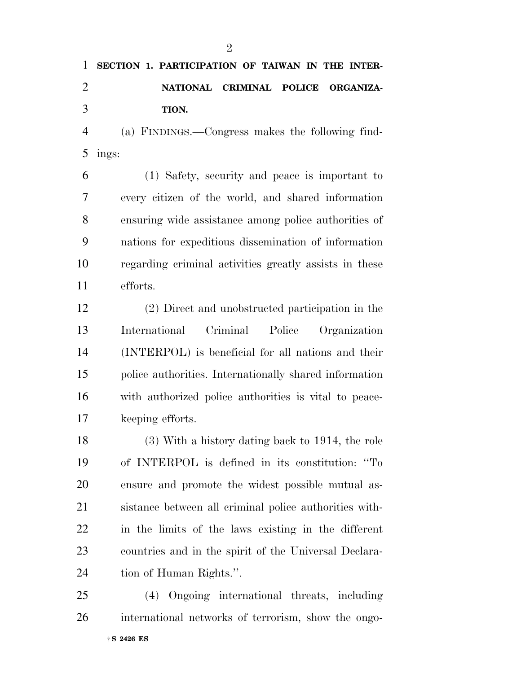|                       | 1 SECTION 1. PARTICIPATION OF TAIWAN IN THE INTER-                 |
|-----------------------|--------------------------------------------------------------------|
| $\mathcal{D}_{\cdot}$ | NATIONAL CRIMINAL POLICE ORGANIZA-                                 |
| 3                     | TION.                                                              |
|                       | (a) FINDINGS.—Congress makes the following find-<br>$\overline{4}$ |

ings:

 (1) Safety, security and peace is important to every citizen of the world, and shared information ensuring wide assistance among police authorities of nations for expeditious dissemination of information regarding criminal activities greatly assists in these efforts.

 (2) Direct and unobstructed participation in the International Criminal Police Organization (INTERPOL) is beneficial for all nations and their police authorities. Internationally shared information with authorized police authorities is vital to peace-keeping efforts.

 (3) With a history dating back to 1914, the role of INTERPOL is defined in its constitution: ''To ensure and promote the widest possible mutual as- sistance between all criminal police authorities with- in the limits of the laws existing in the different countries and in the spirit of the Universal Declara-tion of Human Rights.''.

 (4) Ongoing international threats, including international networks of terrorism, show the ongo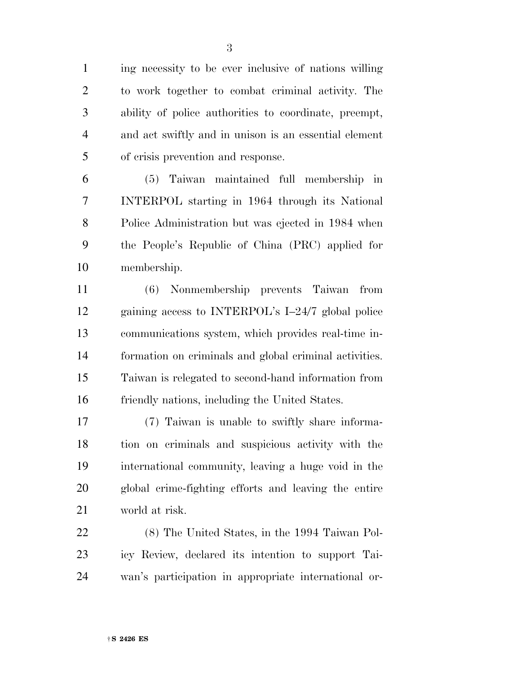ing necessity to be ever inclusive of nations willing to work together to combat criminal activity. The ability of police authorities to coordinate, preempt, and act swiftly and in unison is an essential element of crisis prevention and response.

 (5) Taiwan maintained full membership in INTERPOL starting in 1964 through its National Police Administration but was ejected in 1984 when the People's Republic of China (PRC) applied for membership.

 (6) Nonmembership prevents Taiwan from gaining access to INTERPOL's I–24/7 global police communications system, which provides real-time in- formation on criminals and global criminal activities. Taiwan is relegated to second-hand information from friendly nations, including the United States.

 (7) Taiwan is unable to swiftly share informa- tion on criminals and suspicious activity with the international community, leaving a huge void in the global crime-fighting efforts and leaving the entire world at risk.

 (8) The United States, in the 1994 Taiwan Pol- icy Review, declared its intention to support Tai-wan's participation in appropriate international or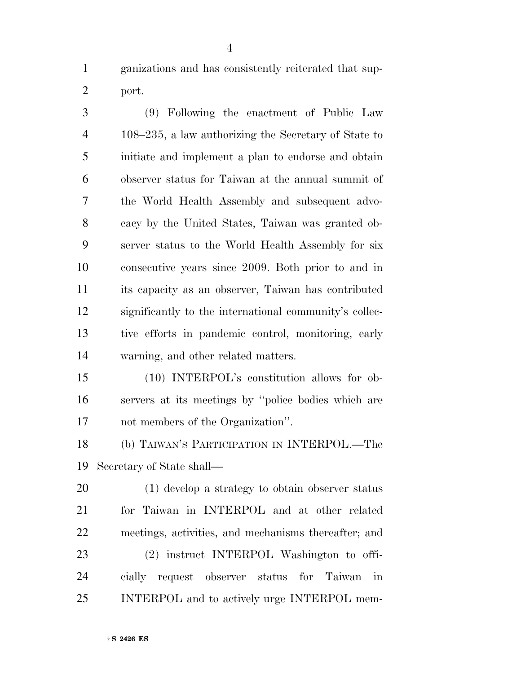ganizations and has consistently reiterated that sup-port.

 (9) Following the enactment of Public Law 108–235, a law authorizing the Secretary of State to initiate and implement a plan to endorse and obtain observer status for Taiwan at the annual summit of the World Health Assembly and subsequent advo- cacy by the United States, Taiwan was granted ob- server status to the World Health Assembly for six consecutive years since 2009. Both prior to and in its capacity as an observer, Taiwan has contributed significantly to the international community's collec- tive efforts in pandemic control, monitoring, early warning, and other related matters.

 (10) INTERPOL's constitution allows for ob- servers at its meetings by ''police bodies which are not members of the Organization''.

 (b) TAIWAN'S PARTICIPATION IN INTERPOL.—The Secretary of State shall—

 (1) develop a strategy to obtain observer status for Taiwan in INTERPOL and at other related meetings, activities, and mechanisms thereafter; and (2) instruct INTERPOL Washington to offi- cially request observer status for Taiwan in INTERPOL and to actively urge INTERPOL mem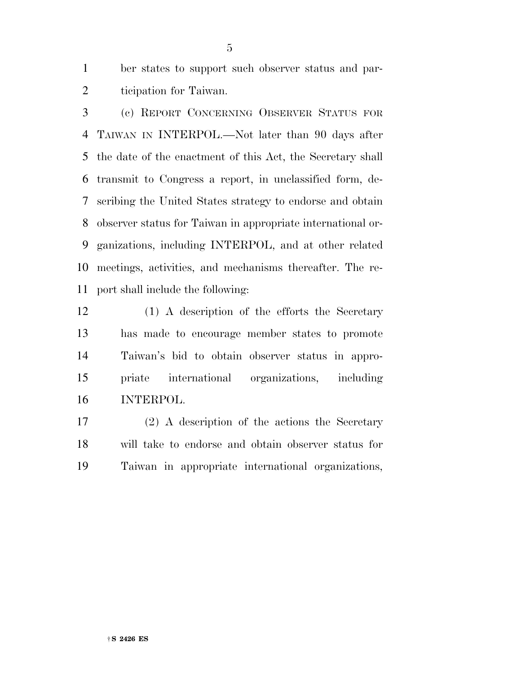ber states to support such observer status and par-ticipation for Taiwan.

 (c) REPORT CONCERNING OBSERVER STATUS FOR TAIWAN IN INTERPOL.—Not later than 90 days after the date of the enactment of this Act, the Secretary shall transmit to Congress a report, in unclassified form, de- scribing the United States strategy to endorse and obtain observer status for Taiwan in appropriate international or- ganizations, including INTERPOL, and at other related meetings, activities, and mechanisms thereafter. The re-port shall include the following:

 (1) A description of the efforts the Secretary has made to encourage member states to promote Taiwan's bid to obtain observer status in appro- priate international organizations, including INTERPOL.

 (2) A description of the actions the Secretary will take to endorse and obtain observer status for Taiwan in appropriate international organizations,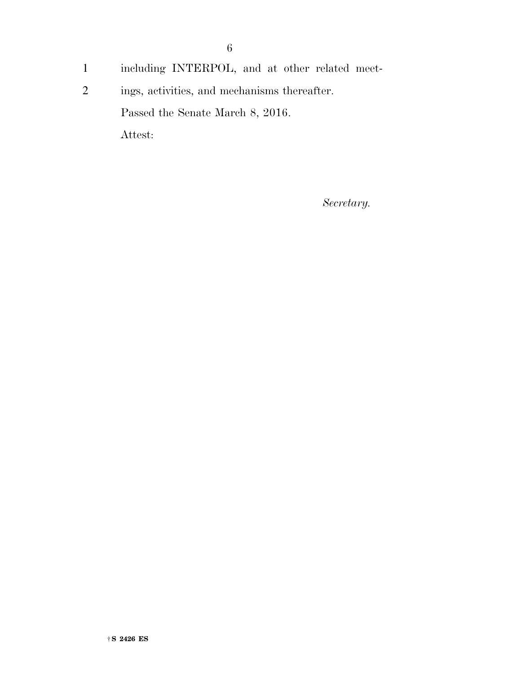- 1 including INTERPOL, and at other related meet-
- 2 ings, activities, and mechanisms thereafter. Passed the Senate March 8, 2016.

Attest:

*Secretary.*